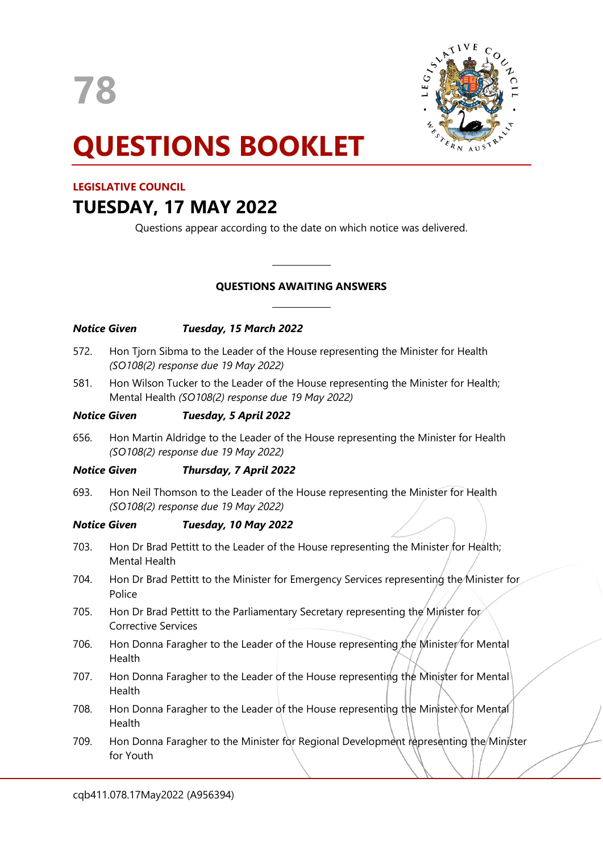**78**



# **QUESTIONS BOOKLET**

## **LEGISLATIVE COUNCIL**

# **TUESDAY, 17 MAY 2022**

Questions appear according to the date on which notice was delivered.

### **QUESTIONS AWAITING ANSWERS**

 $\overline{\phantom{a}}$ 

 $\overline{\phantom{a}}$ 

| <b>Notice Given</b> |                                                                                                                                         | Tuesday, 15 March 2022      |
|---------------------|-----------------------------------------------------------------------------------------------------------------------------------------|-----------------------------|
| 572.                | Hon Tjorn Sibma to the Leader of the House representing the Minister for Health<br>(SO108(2) response due 19 May 2022)                  |                             |
| 581.                | Hon Wilson Tucker to the Leader of the House representing the Minister for Health;<br>Mental Health (SO108(2) response due 19 May 2022) |                             |
| <b>Notice Given</b> |                                                                                                                                         | Tuesday, 5 April 2022       |
| 656.                | Hon Martin Aldridge to the Leader of the House representing the Minister for Health<br>(SO108(2) response due 19 May 2022)              |                             |
| <b>Notice Given</b> |                                                                                                                                         | Thursday, 7 April 2022      |
| 693.                | Hon Neil Thomson to the Leader of the House representing the Minister for Health<br>(SO108(2) response due 19 May 2022)                 |                             |
| <b>Notice Given</b> |                                                                                                                                         | <b>Tuesday, 10 May 2022</b> |
| 703.                | Hon Dr Brad Pettitt to the Leader of the House representing the Minister for Health;<br><b>Mental Health</b>                            |                             |
| 704.                | Hon Dr Brad Pettitt to the Minister for Emergency Services representing the Minister for<br>Police                                      |                             |
| 705.                | Hon Dr Brad Pettitt to the Parliamentary Secretary representing the Minister for<br><b>Corrective Services</b>                          |                             |
| 706.                | Hon Donna Faragher to the Leader of the House representing the Minister for Mental<br>Health                                            |                             |
| 707.                | Hon Donna Faragher to the Leader of the House representing the Minister for Mental<br>Health                                            |                             |
| 708.                | Hon Donna Faragher to the Leader of the House representing the Minister for Mental<br>Health                                            |                             |
| 709.                | Hon Donna Faragher to the Minister for Regional Development representing the Minister<br>for Youth                                      |                             |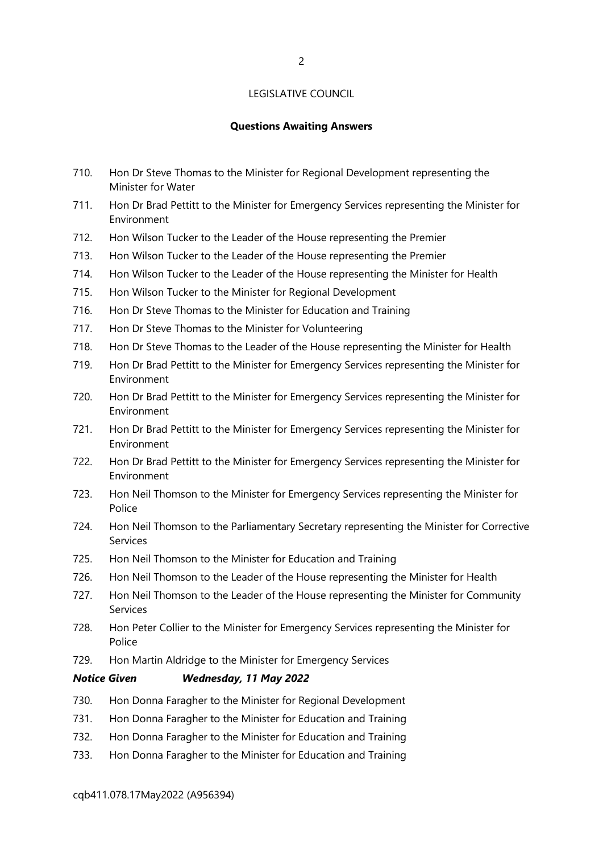#### LEGISLATIVE COUNCIL

#### **Questions Awaiting Answers**

- 710. Hon Dr Steve Thomas to the Minister for Regional Development representing the Minister for Water
- 711. Hon Dr Brad Pettitt to the Minister for Emergency Services representing the Minister for Environment
- 712. Hon Wilson Tucker to the Leader of the House representing the Premier
- 713. Hon Wilson Tucker to the Leader of the House representing the Premier
- 714. Hon Wilson Tucker to the Leader of the House representing the Minister for Health
- 715. Hon Wilson Tucker to the Minister for Regional Development
- 716. Hon Dr Steve Thomas to the Minister for Education and Training
- 717. Hon Dr Steve Thomas to the Minister for Volunteering
- 718. Hon Dr Steve Thomas to the Leader of the House representing the Minister for Health
- 719. Hon Dr Brad Pettitt to the Minister for Emergency Services representing the Minister for Environment
- 720. Hon Dr Brad Pettitt to the Minister for Emergency Services representing the Minister for Environment
- 721. Hon Dr Brad Pettitt to the Minister for Emergency Services representing the Minister for Environment
- 722. Hon Dr Brad Pettitt to the Minister for Emergency Services representing the Minister for Environment
- 723. Hon Neil Thomson to the Minister for Emergency Services representing the Minister for Police
- 724. Hon Neil Thomson to the Parliamentary Secretary representing the Minister for Corrective Services
- 725. Hon Neil Thomson to the Minister for Education and Training
- 726. Hon Neil Thomson to the Leader of the House representing the Minister for Health
- 727. Hon Neil Thomson to the Leader of the House representing the Minister for Community Services
- 728. Hon Peter Collier to the Minister for Emergency Services representing the Minister for Police
- 729. Hon Martin Aldridge to the Minister for Emergency Services

#### *Notice Given Wednesday, 11 May 2022*

- 730. Hon Donna Faragher to the Minister for Regional Development
- 731. Hon Donna Faragher to the Minister for Education and Training
- 732. Hon Donna Faragher to the Minister for Education and Training
- 733. Hon Donna Faragher to the Minister for Education and Training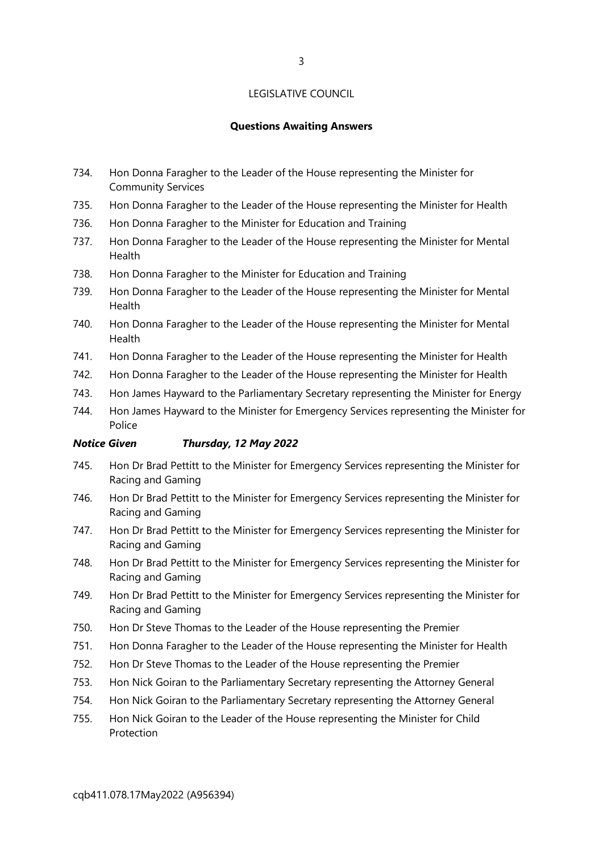#### LEGISLATIVE COUNCIL

#### **Questions Awaiting Answers**

- 734. Hon Donna Faragher to the Leader of the House representing the Minister for Community Services
- 735. Hon Donna Faragher to the Leader of the House representing the Minister for Health
- 736. Hon Donna Faragher to the Minister for Education and Training
- 737. Hon Donna Faragher to the Leader of the House representing the Minister for Mental Health
- 738. Hon Donna Faragher to the Minister for Education and Training
- 739. Hon Donna Faragher to the Leader of the House representing the Minister for Mental Health
- 740. Hon Donna Faragher to the Leader of the House representing the Minister for Mental Health
- 741. Hon Donna Faragher to the Leader of the House representing the Minister for Health
- 742. Hon Donna Faragher to the Leader of the House representing the Minister for Health
- 743. Hon James Hayward to the Parliamentary Secretary representing the Minister for Energy
- 744. Hon James Hayward to the Minister for Emergency Services representing the Minister for Police

#### *Notice Given Thursday, 12 May 2022*

- 745. Hon Dr Brad Pettitt to the Minister for Emergency Services representing the Minister for Racing and Gaming
- 746. Hon Dr Brad Pettitt to the Minister for Emergency Services representing the Minister for Racing and Gaming
- 747. Hon Dr Brad Pettitt to the Minister for Emergency Services representing the Minister for Racing and Gaming
- 748. Hon Dr Brad Pettitt to the Minister for Emergency Services representing the Minister for Racing and Gaming
- 749. Hon Dr Brad Pettitt to the Minister for Emergency Services representing the Minister for Racing and Gaming
- 750. Hon Dr Steve Thomas to the Leader of the House representing the Premier
- 751. Hon Donna Faragher to the Leader of the House representing the Minister for Health
- 752. Hon Dr Steve Thomas to the Leader of the House representing the Premier
- 753. Hon Nick Goiran to the Parliamentary Secretary representing the Attorney General
- 754. Hon Nick Goiran to the Parliamentary Secretary representing the Attorney General
- 755. Hon Nick Goiran to the Leader of the House representing the Minister for Child Protection